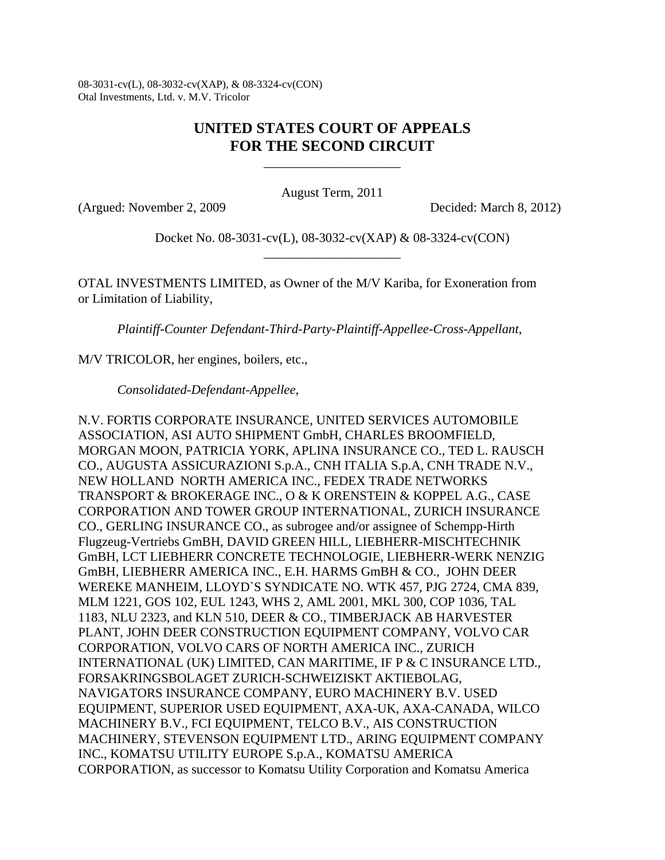08-3031-cv(L), 08-3032-cv(XAP), & 08-3324-cv(CON) Otal Investments, Ltd. v. M.V. Tricolor

# **UNITED STATES COURT OF APPEALS FOR THE SECOND CIRCUIT**

\_\_\_\_\_\_\_\_\_\_\_\_\_\_\_\_\_\_\_\_\_

August Term, 2011

(Argued: November 2, 2009 Decided: March 8, 2012)

Docket No. 08-3031-cv(L), 08-3032-cv(XAP) & 08-3324-cv(CON) \_\_\_\_\_\_\_\_\_\_\_\_\_\_\_\_\_\_\_\_\_

OTAL INVESTMENTS LIMITED, as Owner of the M/V Kariba, for Exoneration from or Limitation of Liability,

*Plaintiff-Counter Defendant-Third-Party-Plaintiff-Appellee-Cross-Appellant*,

M/V TRICOLOR, her engines, boilers, etc.,

*Consolidated-Defendant-Appellee*,

N.V. FORTIS CORPORATE INSURANCE, UNITED SERVICES AUTOMOBILE ASSOCIATION, ASI AUTO SHIPMENT GmbH, CHARLES BROOMFIELD, MORGAN MOON, PATRICIA YORK, APLINA INSURANCE CO., TED L. RAUSCH CO., AUGUSTA ASSICURAZIONI S.p.A., CNH ITALIA S.p.A, CNH TRADE N.V., NEW HOLLAND NORTH AMERICA INC., FEDEX TRADE NETWORKS TRANSPORT & BROKERAGE INC., O & K ORENSTEIN & KOPPEL A.G., CASE CORPORATION AND TOWER GROUP INTERNATIONAL, ZURICH INSURANCE CO., GERLING INSURANCE CO., as subrogee and/or assignee of Schempp-Hirth Flugzeug-Vertriebs GmBH, DAVID GREEN HILL, LIEBHERR-MISCHTECHNIK GmBH, LCT LIEBHERR CONCRETE TECHNOLOGIE, LIEBHERR-WERK NENZIG GmBH, LIEBHERR AMERICA INC., E.H. HARMS GmBH & CO., JOHN DEER WEREKE MANHEIM, LLOYD`S SYNDICATE NO. WTK 457, PJG 2724, CMA 839, MLM 1221, GOS 102, EUL 1243, WHS 2, AML 2001, MKL 300, COP 1036, TAL 1183, NLU 2323, and KLN 510, DEER & CO., TIMBERJACK AB HARVESTER PLANT, JOHN DEER CONSTRUCTION EQUIPMENT COMPANY, VOLVO CAR CORPORATION, VOLVO CARS OF NORTH AMERICA INC., ZURICH INTERNATIONAL (UK) LIMITED, CAN MARITIME, IF P & C INSURANCE LTD., FORSAKRINGSBOLAGET ZURICH-SCHWEIZISKT AKTIEBOLAG, NAVIGATORS INSURANCE COMPANY, EURO MACHINERY B.V. USED EQUIPMENT, SUPERIOR USED EQUIPMENT, AXA-UK, AXA-CANADA, WILCO MACHINERY B.V., FCI EQUIPMENT, TELCO B.V., AIS CONSTRUCTION MACHINERY, STEVENSON EQUIPMENT LTD., ARING EQUIPMENT COMPANY INC., KOMATSU UTILITY EUROPE S.p.A., KOMATSU AMERICA CORPORATION, as successor to Komatsu Utility Corporation and Komatsu America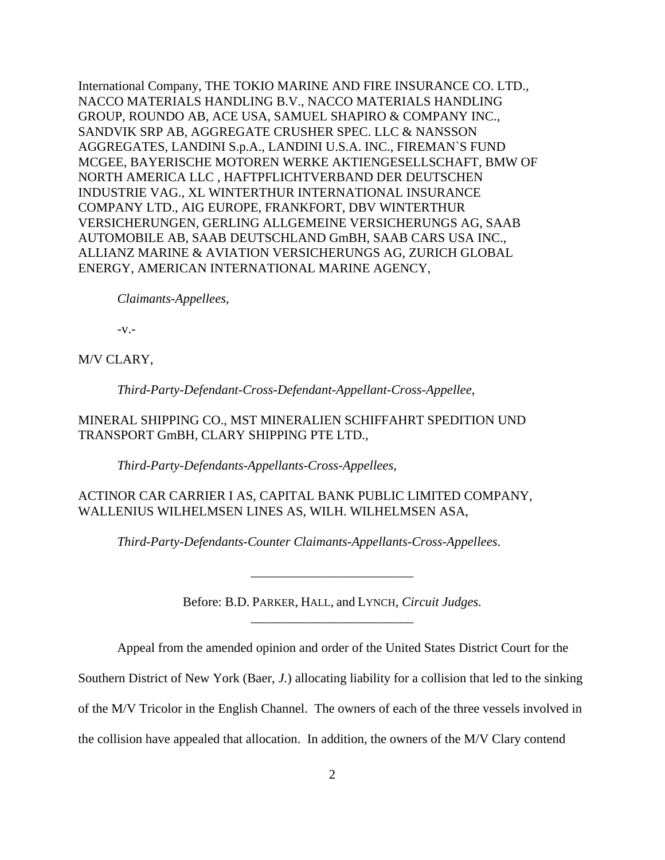International Company, THE TOKIO MARINE AND FIRE INSURANCE CO. LTD., NACCO MATERIALS HANDLING B.V., NACCO MATERIALS HANDLING GROUP, ROUNDO AB, ACE USA, SAMUEL SHAPIRO & COMPANY INC., SANDVIK SRP AB, AGGREGATE CRUSHER SPEC. LLC & NANSSON AGGREGATES, LANDINI S.p.A., LANDINI U.S.A. INC., FIREMAN`S FUND MCGEE, BAYERISCHE MOTOREN WERKE AKTIENGESELLSCHAFT, BMW OF NORTH AMERICA LLC , HAFTPFLICHTVERBAND DER DEUTSCHEN INDUSTRIE VAG., XL WINTERTHUR INTERNATIONAL INSURANCE COMPANY LTD., AIG EUROPE, FRANKFORT, DBV WINTERTHUR VERSICHERUNGEN, GERLING ALLGEMEINE VERSICHERUNGS AG, SAAB AUTOMOBILE AB, SAAB DEUTSCHLAND GmBH, SAAB CARS USA INC., ALLIANZ MARINE & AVIATION VERSICHERUNGS AG, ZURICH GLOBAL ENERGY, AMERICAN INTERNATIONAL MARINE AGENCY,

*Claimants-Appellees*,

-v.-

M/V CLARY,

*Third-Party-Defendant-Cross-Defendant-Appellant-Cross-Appellee*,

MINERAL SHIPPING CO., MST MINERALIEN SCHIFFAHRT SPEDITION UND TRANSPORT GmBH, CLARY SHIPPING PTE LTD.,

*Third-Party-Defendants-Appellants-Cross-Appellees*,

ACTINOR CAR CARRIER I AS, CAPITAL BANK PUBLIC LIMITED COMPANY, WALLENIUS WILHELMSEN LINES AS, WILH. WILHELMSEN ASA,

*Third-Party-Defendants-Counter Claimants-Appellants-Cross-Appellees*.

Before: B.D. PARKER, HALL, and LYNCH, *Circuit Judges.* \_\_\_\_\_\_\_\_\_\_\_\_\_\_\_\_\_\_\_\_\_\_\_\_\_

\_\_\_\_\_\_\_\_\_\_\_\_\_\_\_\_\_\_\_\_\_\_\_\_\_

Appeal from the amended opinion and order of the United States District Court for the

Southern District of New York (Baer, *J.*) allocating liability for a collision that led to the sinking

of the M/V Tricolor in the English Channel. The owners of each of the three vessels involved in

the collision have appealed that allocation. In addition, the owners of the M/V Clary contend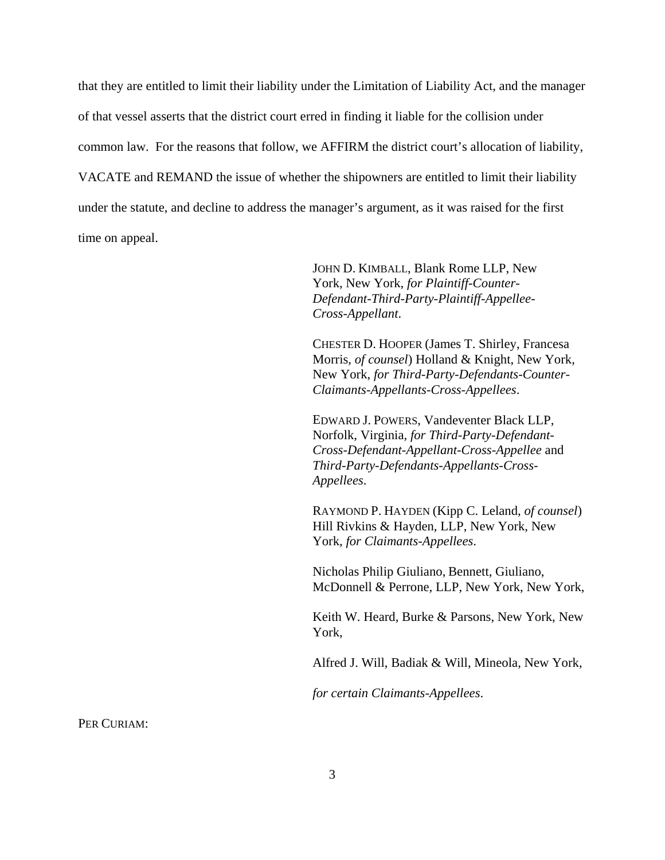that they are entitled to limit their liability under the Limitation of Liability Act, and the manager of that vessel asserts that the district court erred in finding it liable for the collision under common law. For the reasons that follow, we AFFIRM the district court's allocation of liability, VACATE and REMAND the issue of whether the shipowners are entitled to limit their liability under the statute, and decline to address the manager's argument, as it was raised for the first time on appeal.

> JOHN D. KIMBALL, Blank Rome LLP, New York, New York, *for Plaintiff-Counter-Defendant-Third-Party-Plaintiff-Appellee-Cross-Appellant*.

CHESTER D. HOOPER (James T. Shirley, Francesa Morris, *of counsel*) Holland & Knight, New York, New York, *for Third-Party-Defendants-Counter-Claimants-Appellants-Cross-Appellees*.

EDWARD J. POWERS, Vandeventer Black LLP, Norfolk, Virginia, *for Third-Party-Defendant-Cross-Defendant-Appellant-Cross-Appellee* and *Third-Party-Defendants-Appellants-Cross-Appellees*.

RAYMOND P. HAYDEN (Kipp C. Leland, *of counsel*) Hill Rivkins & Hayden, LLP, New York, New York, *for Claimants-Appellees*.

Nicholas Philip Giuliano, Bennett, Giuliano, McDonnell & Perrone, LLP, New York, New York,

Keith W. Heard, Burke & Parsons, New York, New York,

Alfred J. Will, Badiak & Will, Mineola, New York,

*for certain Claimants-Appellees*.

PER CURIAM: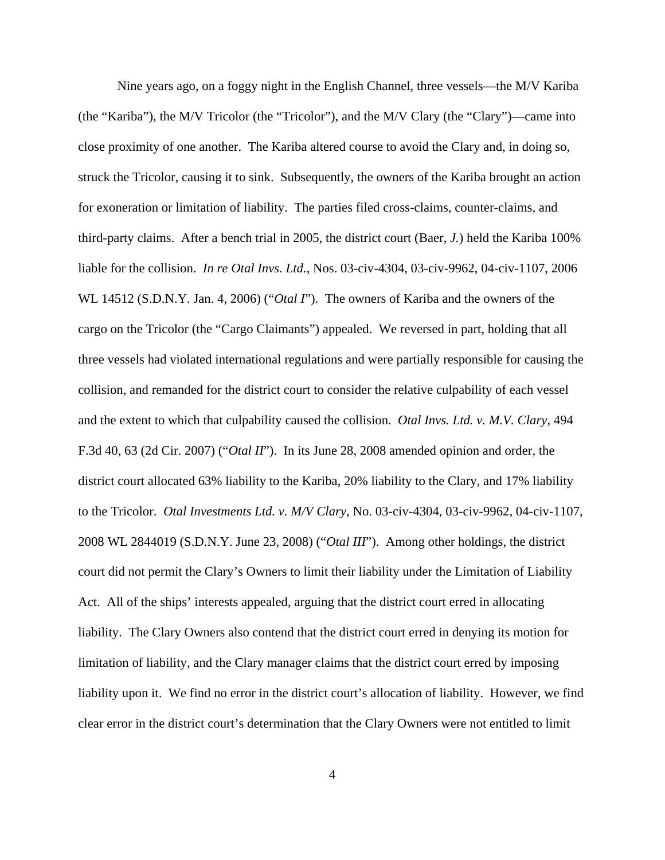Nine years ago, on a foggy night in the English Channel, three vessels—the M/V Kariba (the "Kariba"), the M/V Tricolor (the "Tricolor"), and the M/V Clary (the "Clary")—came into close proximity of one another. The Kariba altered course to avoid the Clary and, in doing so, struck the Tricolor, causing it to sink. Subsequently, the owners of the Kariba brought an action for exoneration or limitation of liability. The parties filed cross-claims, counter-claims, and third-party claims. After a bench trial in 2005, the district court (Baer, *J.*) held the Kariba 100% liable for the collision. *In re Otal Invs. Ltd.*, Nos. 03-civ-4304, 03-civ-9962, 04-civ-1107, 2006 WL 14512 (S.D.N.Y. Jan. 4, 2006) ("*Otal I*"). The owners of Kariba and the owners of the cargo on the Tricolor (the "Cargo Claimants") appealed. We reversed in part, holding that all three vessels had violated international regulations and were partially responsible for causing the collision, and remanded for the district court to consider the relative culpability of each vessel and the extent to which that culpability caused the collision. *Otal Invs. Ltd. v. M.V. Clary*, 494 F.3d 40, 63 (2d Cir. 2007) ("*Otal II*"). In its June 28, 2008 amended opinion and order, the district court allocated 63% liability to the Kariba, 20% liability to the Clary, and 17% liability to the Tricolor. *Otal Investments Ltd. v. M/V Clary*, No. 03-civ-4304, 03-civ-9962, 04-civ-1107, 2008 WL 2844019 (S.D.N.Y. June 23, 2008) ("*Otal III*"). Among other holdings, the district court did not permit the Clary's Owners to limit their liability under the Limitation of Liability Act. All of the ships' interests appealed, arguing that the district court erred in allocating liability. The Clary Owners also contend that the district court erred in denying its motion for limitation of liability, and the Clary manager claims that the district court erred by imposing liability upon it. We find no error in the district court's allocation of liability. However, we find clear error in the district court's determination that the Clary Owners were not entitled to limit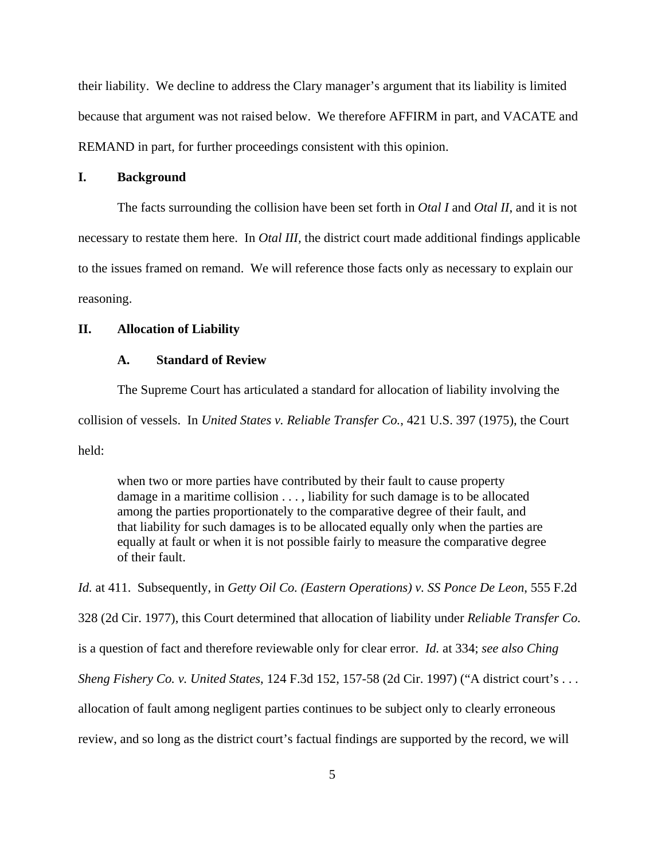their liability. We decline to address the Clary manager's argument that its liability is limited because that argument was not raised below. We therefore AFFIRM in part, and VACATE and REMAND in part, for further proceedings consistent with this opinion.

#### **I. Background**

The facts surrounding the collision have been set forth in *Otal I* and *Otal II*, and it is not necessary to restate them here. In *Otal III,* the district court made additional findings applicable to the issues framed on remand. We will reference those facts only as necessary to explain our reasoning.

### **II. Allocation of Liability**

## **A. Standard of Review**

The Supreme Court has articulated a standard for allocation of liability involving the collision of vessels. In *United States v. Reliable Transfer Co.*, 421 U.S. 397 (1975), the Court held:

when two or more parties have contributed by their fault to cause property damage in a maritime collision . . . , liability for such damage is to be allocated among the parties proportionately to the comparative degree of their fault, and that liability for such damages is to be allocated equally only when the parties are equally at fault or when it is not possible fairly to measure the comparative degree of their fault.

*Id.* at 411. Subsequently, in *Getty Oil Co. (Eastern Operations) v. SS Ponce De Leon*, 555 F.2d 328 (2d Cir. 1977), this Court determined that allocation of liability under *Reliable Transfer Co.* is a question of fact and therefore reviewable only for clear error. *Id.* at 334; *see also Ching Sheng Fishery Co. v. United States*, 124 F.3d 152, 157-58 (2d Cir. 1997) ("A district court's . . . allocation of fault among negligent parties continues to be subject only to clearly erroneous review, and so long as the district court's factual findings are supported by the record, we will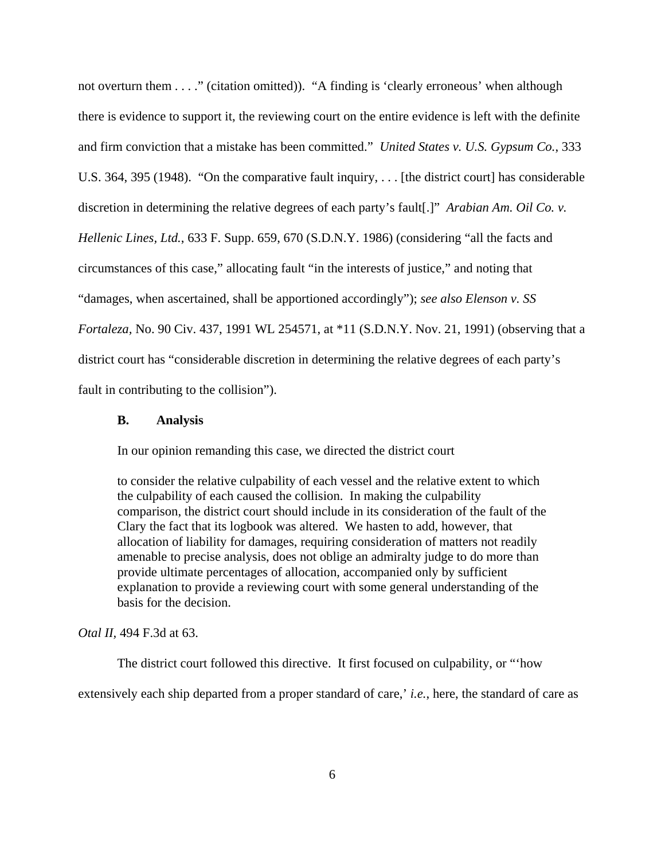not overturn them . . . ." (citation omitted)). "A finding is 'clearly erroneous' when although there is evidence to support it, the reviewing court on the entire evidence is left with the definite and firm conviction that a mistake has been committed." *United States v. U.S. Gypsum Co.*, 333 U.S. 364, 395 (1948). "On the comparative fault inquiry, . . . [the district court] has considerable discretion in determining the relative degrees of each party's fault[.]" *Arabian Am. Oil Co. v. Hellenic Lines, Ltd.*, 633 F. Supp. 659, 670 (S.D.N.Y. 1986) (considering "all the facts and circumstances of this case," allocating fault "in the interests of justice," and noting that "damages, when ascertained, shall be apportioned accordingly"); *see also Elenson v. SS Fortaleza,* No. 90 Civ. 437, 1991 WL 254571, at \*11 (S.D.N.Y. Nov. 21, 1991) (observing that a district court has "considerable discretion in determining the relative degrees of each party's fault in contributing to the collision").

### **B. Analysis**

In our opinion remanding this case, we directed the district court

to consider the relative culpability of each vessel and the relative extent to which the culpability of each caused the collision. In making the culpability comparison, the district court should include in its consideration of the fault of the Clary the fact that its logbook was altered. We hasten to add, however, that allocation of liability for damages, requiring consideration of matters not readily amenable to precise analysis, does not oblige an admiralty judge to do more than provide ultimate percentages of allocation, accompanied only by sufficient explanation to provide a reviewing court with some general understanding of the basis for the decision.

*Otal II,* 494 F.3d at 63.

The district court followed this directive. It first focused on culpability, or "'how

extensively each ship departed from a proper standard of care,' *i.e.*, here, the standard of care as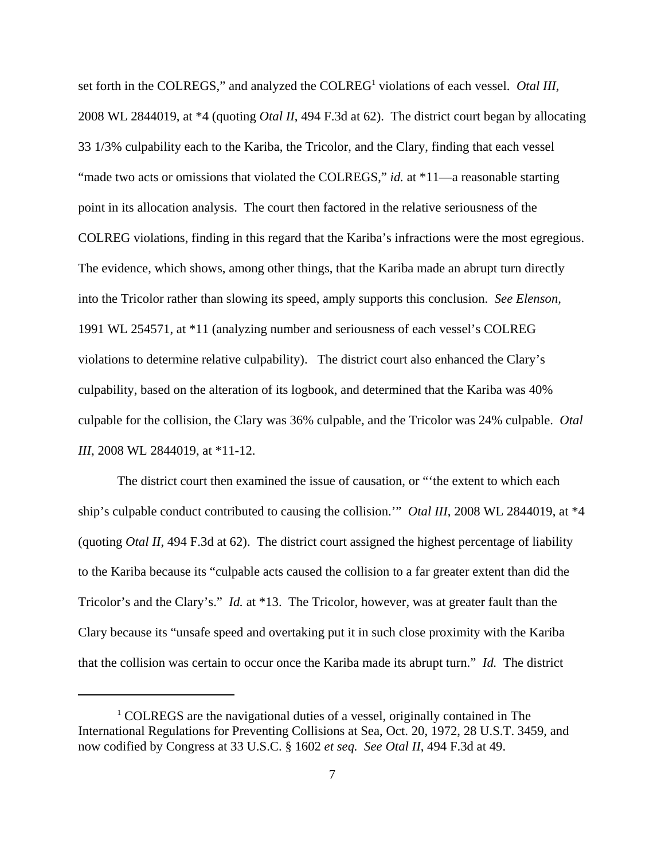set forth in the COLREGS," and analyzed the COLREG<sup>1</sup> violations of each vessel. *Otal III*, 2008 WL 2844019, at \*4 (quoting *Otal II*, 494 F.3d at 62). The district court began by allocating 33 1/3% culpability each to the Kariba, the Tricolor, and the Clary, finding that each vessel "made two acts or omissions that violated the COLREGS," *id.* at \*11—a reasonable starting point in its allocation analysis. The court then factored in the relative seriousness of the COLREG violations, finding in this regard that the Kariba's infractions were the most egregious. The evidence, which shows, among other things, that the Kariba made an abrupt turn directly into the Tricolor rather than slowing its speed, amply supports this conclusion. *See Elenson,* 1991 WL 254571, at \*11 (analyzing number and seriousness of each vessel's COLREG violations to determine relative culpability). The district court also enhanced the Clary's culpability, based on the alteration of its logbook, and determined that the Kariba was 40% culpable for the collision, the Clary was 36% culpable, and the Tricolor was 24% culpable. *Otal III*, 2008 WL 2844019, at \*11-12.

The district court then examined the issue of causation, or "'the extent to which each ship's culpable conduct contributed to causing the collision.'" *Otal III*, 2008 WL 2844019, at \*4 (quoting *Otal II*, 494 F.3d at 62). The district court assigned the highest percentage of liability to the Kariba because its "culpable acts caused the collision to a far greater extent than did the Tricolor's and the Clary's." *Id.* at \*13. The Tricolor, however, was at greater fault than the Clary because its "unsafe speed and overtaking put it in such close proximity with the Kariba that the collision was certain to occur once the Kariba made its abrupt turn." *Id.* The district

<sup>&</sup>lt;sup>1</sup> COLREGS are the navigational duties of a vessel, originally contained in The International Regulations for Preventing Collisions at Sea, Oct. 20, 1972, 28 U.S.T. 3459, and now codified by Congress at 33 U.S.C. § 1602 *et seq. See Otal II*, 494 F.3d at 49.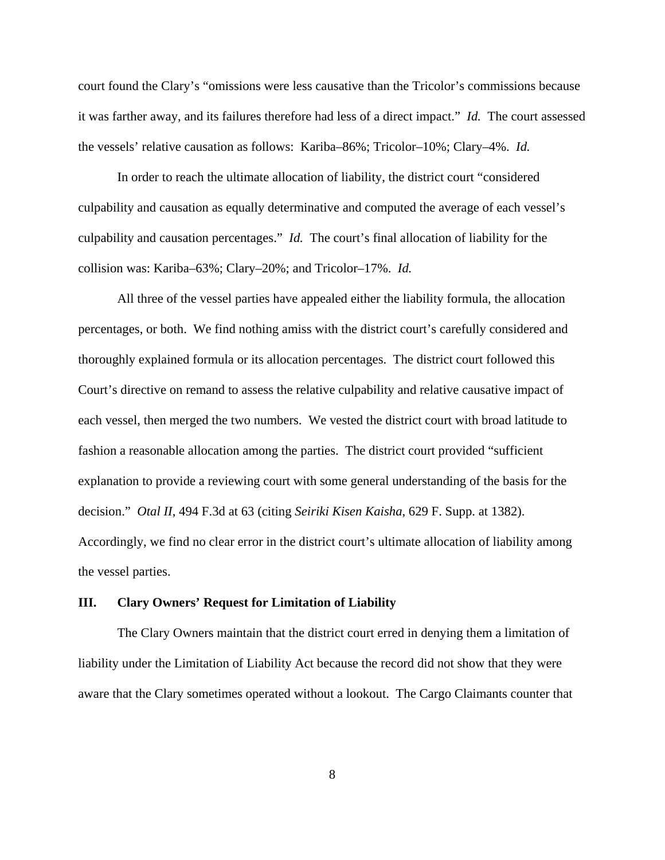court found the Clary's "omissions were less causative than the Tricolor's commissions because it was farther away, and its failures therefore had less of a direct impact." *Id.* The court assessed the vessels' relative causation as follows: Kariba–86%; Tricolor–10%; Clary–4%. *Id.*

In order to reach the ultimate allocation of liability, the district court "considered culpability and causation as equally determinative and computed the average of each vessel's culpability and causation percentages." *Id.* The court's final allocation of liability for the collision was: Kariba–63%; Clary–20%; and Tricolor–17%. *Id.*

All three of the vessel parties have appealed either the liability formula, the allocation percentages, or both. We find nothing amiss with the district court's carefully considered and thoroughly explained formula or its allocation percentages. The district court followed this Court's directive on remand to assess the relative culpability and relative causative impact of each vessel, then merged the two numbers. We vested the district court with broad latitude to fashion a reasonable allocation among the parties. The district court provided "sufficient explanation to provide a reviewing court with some general understanding of the basis for the decision." *Otal II*, 494 F.3d at 63 (citing *Seiriki Kisen Kaisha*, 629 F. Supp. at 1382). Accordingly, we find no clear error in the district court's ultimate allocation of liability among the vessel parties.

### **III. Clary Owners' Request for Limitation of Liability**

The Clary Owners maintain that the district court erred in denying them a limitation of liability under the Limitation of Liability Act because the record did not show that they were aware that the Clary sometimes operated without a lookout. The Cargo Claimants counter that

8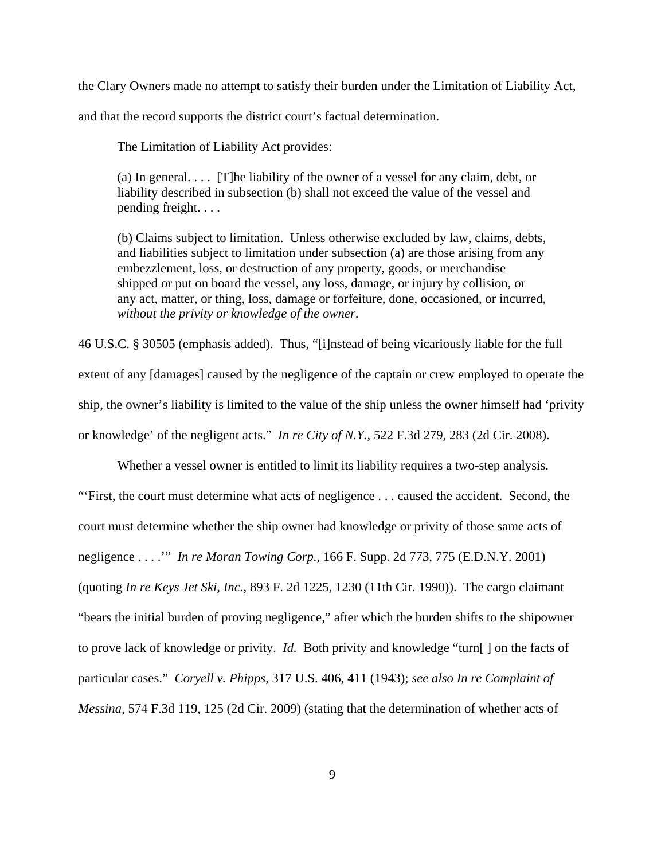the Clary Owners made no attempt to satisfy their burden under the Limitation of Liability Act, and that the record supports the district court's factual determination.

The Limitation of Liability Act provides:

(a) In general. . . . [T]he liability of the owner of a vessel for any claim, debt, or liability described in subsection (b) shall not exceed the value of the vessel and pending freight. . . .

(b) Claims subject to limitation. Unless otherwise excluded by law, claims, debts, and liabilities subject to limitation under subsection (a) are those arising from any embezzlement, loss, or destruction of any property, goods, or merchandise shipped or put on board the vessel, any loss, damage, or injury by collision, or any act, matter, or thing, loss, damage or forfeiture, done, occasioned, or incurred, *without the privity or knowledge of the owner*.

46 U.S.C. § 30505 (emphasis added). Thus, "[i]nstead of being vicariously liable for the full extent of any [damages] caused by the negligence of the captain or crew employed to operate the ship, the owner's liability is limited to the value of the ship unless the owner himself had 'privity or knowledge' of the negligent acts." *In re City of N.Y.*, 522 F.3d 279, 283 (2d Cir. 2008).

Whether a vessel owner is entitled to limit its liability requires a two-step analysis. "'First, the court must determine what acts of negligence . . . caused the accident. Second, the court must determine whether the ship owner had knowledge or privity of those same acts of negligence . . . .'" *In re Moran Towing Corp.*, 166 F. Supp. 2d 773, 775 (E.D.N.Y. 2001) (quoting *In re Keys Jet Ski, Inc.*, 893 F. 2d 1225, 1230 (11th Cir. 1990)). The cargo claimant "bears the initial burden of proving negligence," after which the burden shifts to the shipowner to prove lack of knowledge or privity. *Id.* Both privity and knowledge "turn[ ] on the facts of particular cases." *Coryell v. Phipps*, 317 U.S. 406, 411 (1943); *see also In re Complaint of Messina*, 574 F.3d 119, 125 (2d Cir. 2009) (stating that the determination of whether acts of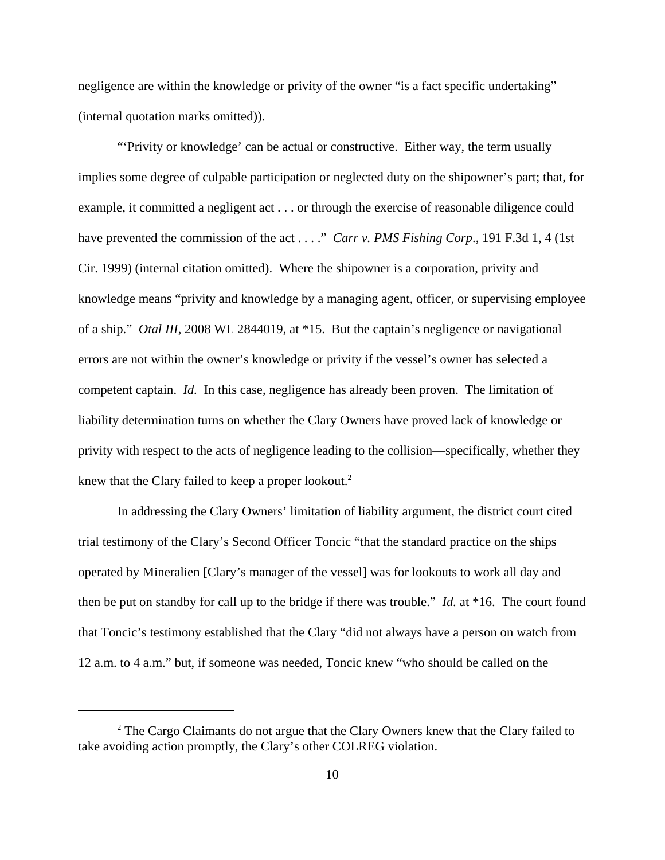negligence are within the knowledge or privity of the owner "is a fact specific undertaking" (internal quotation marks omitted)).

"'Privity or knowledge' can be actual or constructive. Either way, the term usually implies some degree of culpable participation or neglected duty on the shipowner's part; that, for example, it committed a negligent act . . . or through the exercise of reasonable diligence could have prevented the commission of the act . . . ." *Carr v. PMS Fishing Corp.*, 191 F.3d 1, 4 (1st Cir. 1999) (internal citation omitted). Where the shipowner is a corporation, privity and knowledge means "privity and knowledge by a managing agent, officer, or supervising employee of a ship." *Otal III*, 2008 WL 2844019, at \*15. But the captain's negligence or navigational errors are not within the owner's knowledge or privity if the vessel's owner has selected a competent captain. *Id.* In this case, negligence has already been proven. The limitation of liability determination turns on whether the Clary Owners have proved lack of knowledge or privity with respect to the acts of negligence leading to the collision—specifically, whether they knew that the Clary failed to keep a proper lookout.<sup>2</sup>

In addressing the Clary Owners' limitation of liability argument, the district court cited trial testimony of the Clary's Second Officer Toncic "that the standard practice on the ships operated by Mineralien [Clary's manager of the vessel] was for lookouts to work all day and then be put on standby for call up to the bridge if there was trouble." *Id.* at \*16. The court found that Toncic's testimony established that the Clary "did not always have a person on watch from 12 a.m. to 4 a.m." but, if someone was needed, Toncic knew "who should be called on the

 $2$  The Cargo Claimants do not argue that the Clary Owners knew that the Clary failed to take avoiding action promptly, the Clary's other COLREG violation.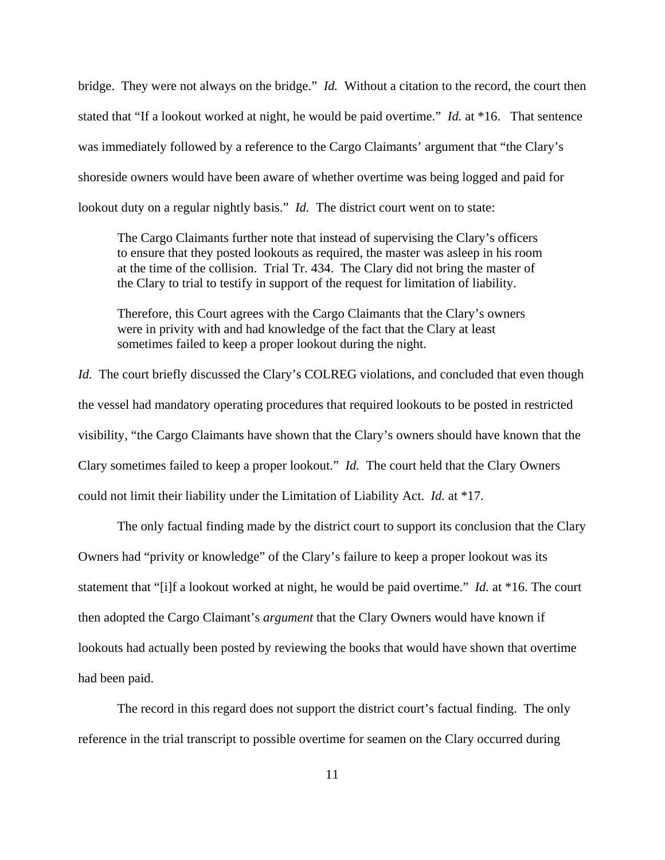bridge. They were not always on the bridge." *Id.* Without a citation to the record, the court then stated that "If a lookout worked at night, he would be paid overtime." *Id.* at \*16. That sentence was immediately followed by a reference to the Cargo Claimants' argument that "the Clary's shoreside owners would have been aware of whether overtime was being logged and paid for lookout duty on a regular nightly basis." *Id.* The district court went on to state:

The Cargo Claimants further note that instead of supervising the Clary's officers to ensure that they posted lookouts as required, the master was asleep in his room at the time of the collision. Trial Tr. 434. The Clary did not bring the master of the Clary to trial to testify in support of the request for limitation of liability.

Therefore, this Court agrees with the Cargo Claimants that the Clary's owners were in privity with and had knowledge of the fact that the Clary at least sometimes failed to keep a proper lookout during the night.

*Id.* The court briefly discussed the Clary's COLREG violations, and concluded that even though the vessel had mandatory operating procedures that required lookouts to be posted in restricted visibility, "the Cargo Claimants have shown that the Clary's owners should have known that the Clary sometimes failed to keep a proper lookout." *Id.* The court held that the Clary Owners could not limit their liability under the Limitation of Liability Act. *Id.* at \*17.

The only factual finding made by the district court to support its conclusion that the Clary Owners had "privity or knowledge" of the Clary's failure to keep a proper lookout was its statement that "[i]f a lookout worked at night, he would be paid overtime." *Id.* at \*16. The court then adopted the Cargo Claimant's *argument* that the Clary Owners would have known if lookouts had actually been posted by reviewing the books that would have shown that overtime had been paid.

The record in this regard does not support the district court's factual finding. The only reference in the trial transcript to possible overtime for seamen on the Clary occurred during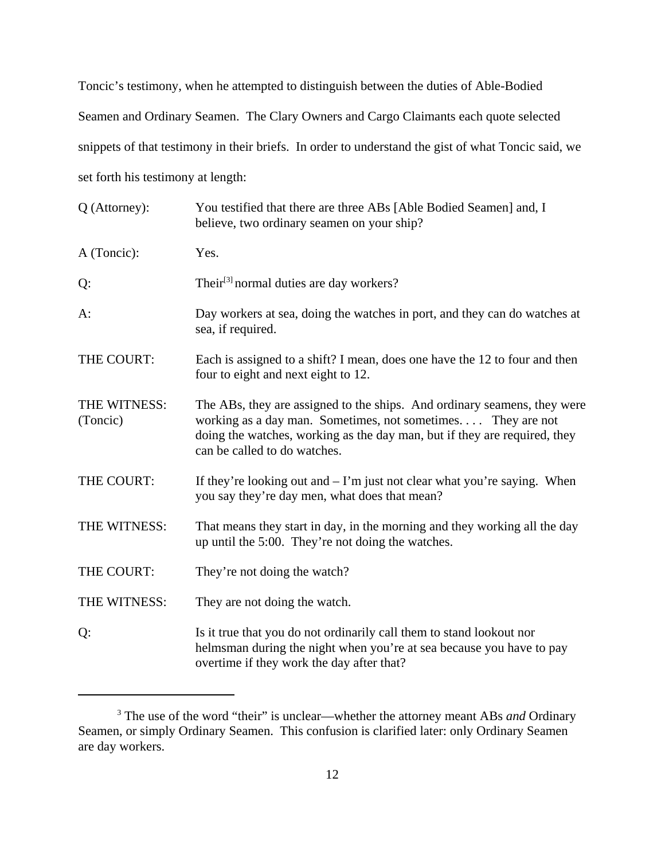Toncic's testimony, when he attempted to distinguish between the duties of Able-Bodied Seamen and Ordinary Seamen. The Clary Owners and Cargo Claimants each quote selected snippets of that testimony in their briefs. In order to understand the gist of what Toncic said, we set forth his testimony at length:

| Q (Attorney):            | You testified that there are three ABs [Able Bodied Seamen] and, I<br>believe, two ordinary seamen on your ship?                                                                                                                                     |
|--------------------------|------------------------------------------------------------------------------------------------------------------------------------------------------------------------------------------------------------------------------------------------------|
| A (Toncic):              | Yes.                                                                                                                                                                                                                                                 |
| Q:                       | Their <sup>[3]</sup> normal duties are day workers?                                                                                                                                                                                                  |
| $A$ :                    | Day workers at sea, doing the watches in port, and they can do watches at<br>sea, if required.                                                                                                                                                       |
| THE COURT:               | Each is assigned to a shift? I mean, does one have the 12 to four and then<br>four to eight and next eight to 12.                                                                                                                                    |
| THE WITNESS:<br>(Toncic) | The ABs, they are assigned to the ships. And ordinary seamens, they were<br>working as a day man. Sometimes, not sometimes They are not<br>doing the watches, working as the day man, but if they are required, they<br>can be called to do watches. |
| THE COURT:               | If they're looking out and $- \Gamma$ 'm just not clear what you're saying. When<br>you say they're day men, what does that mean?                                                                                                                    |
| THE WITNESS:             | That means they start in day, in the morning and they working all the day<br>up until the 5:00. They're not doing the watches.                                                                                                                       |
| THE COURT:               | They're not doing the watch?                                                                                                                                                                                                                         |
| THE WITNESS:             | They are not doing the watch.                                                                                                                                                                                                                        |
| Q:                       | Is it true that you do not ordinarily call them to stand lookout nor<br>helmsman during the night when you're at sea because you have to pay<br>overtime if they work the day after that?                                                            |

<sup>&</sup>lt;sup>3</sup> The use of the word "their" is unclear—whether the attorney meant ABs *and* Ordinary Seamen, or simply Ordinary Seamen. This confusion is clarified later: only Ordinary Seamen are day workers.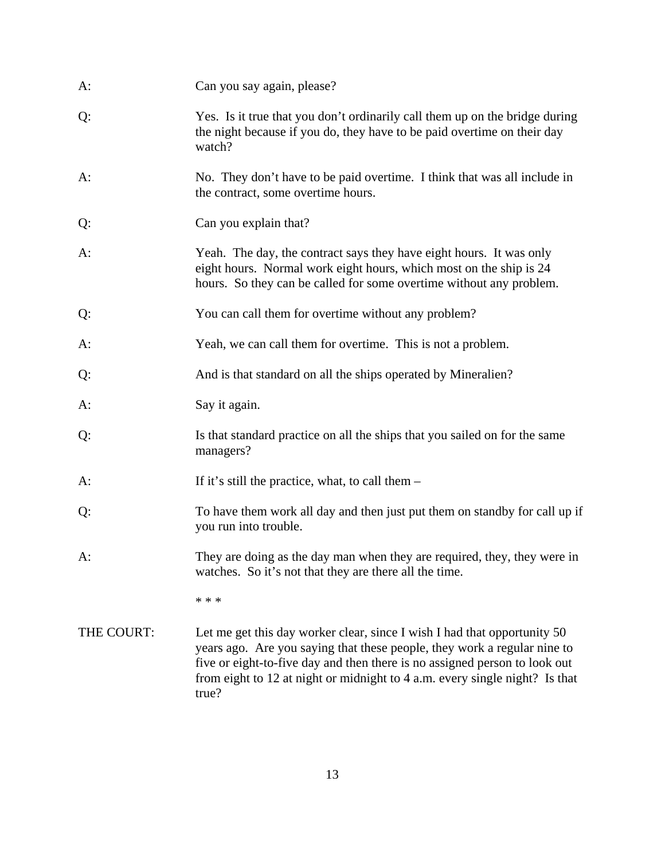| A:         | Can you say again, please?                                                                                                                                                                                                                                                                                                 |
|------------|----------------------------------------------------------------------------------------------------------------------------------------------------------------------------------------------------------------------------------------------------------------------------------------------------------------------------|
| Q:         | Yes. Is it true that you don't ordinarily call them up on the bridge during<br>the night because if you do, they have to be paid overtime on their day<br>watch?                                                                                                                                                           |
| $A$ :      | No. They don't have to be paid overtime. I think that was all include in<br>the contract, some overtime hours.                                                                                                                                                                                                             |
| Q:         | Can you explain that?                                                                                                                                                                                                                                                                                                      |
| $A$ :      | Yeah. The day, the contract says they have eight hours. It was only<br>eight hours. Normal work eight hours, which most on the ship is 24<br>hours. So they can be called for some overtime without any problem.                                                                                                           |
| Q:         | You can call them for overtime without any problem?                                                                                                                                                                                                                                                                        |
| A:         | Yeah, we can call them for overtime. This is not a problem.                                                                                                                                                                                                                                                                |
| Q:         | And is that standard on all the ships operated by Mineralien?                                                                                                                                                                                                                                                              |
| A:         | Say it again.                                                                                                                                                                                                                                                                                                              |
| Q:         | Is that standard practice on all the ships that you sailed on for the same<br>managers?                                                                                                                                                                                                                                    |
| $A$ :      | If it's still the practice, what, to call them $-$                                                                                                                                                                                                                                                                         |
| Q:         | To have them work all day and then just put them on standby for call up if<br>you run into trouble.                                                                                                                                                                                                                        |
| $A$ :      | They are doing as the day man when they are required, they, they were in<br>watches. So it's not that they are there all the time.                                                                                                                                                                                         |
|            | * * *                                                                                                                                                                                                                                                                                                                      |
| THE COURT: | Let me get this day worker clear, since I wish I had that opportunity 50<br>years ago. Are you saying that these people, they work a regular nine to<br>five or eight-to-five day and then there is no assigned person to look out<br>from eight to 12 at night or midnight to 4 a.m. every single night? Is that<br>true? |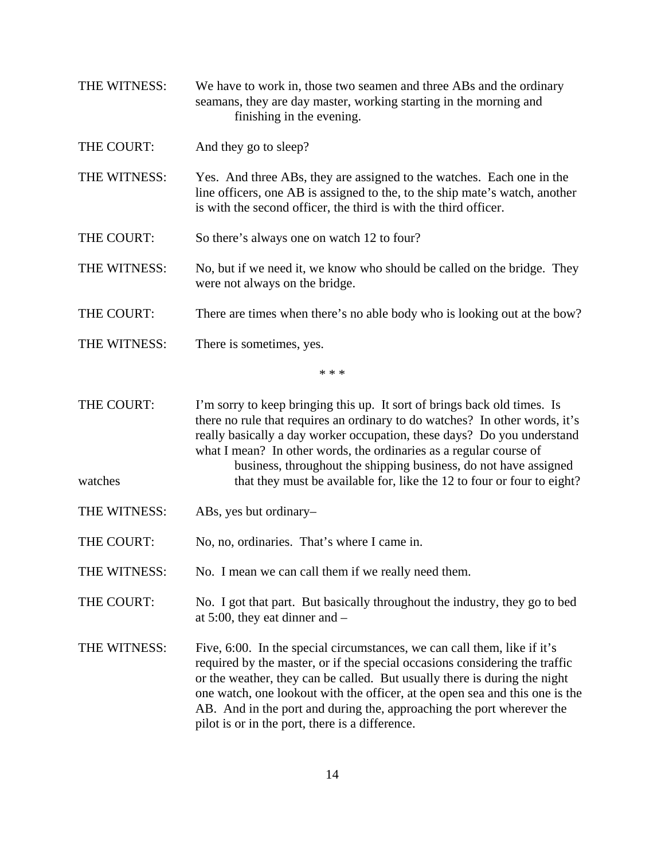- THE WITNESS: We have to work in, those two seamen and three ABs and the ordinary seamans, they are day master, working starting in the morning and finishing in the evening.
- THE COURT: And they go to sleep?
- THE WITNESS: Yes. And three ABs, they are assigned to the watches. Each one in the line officers, one AB is assigned to the, to the ship mate's watch, another is with the second officer, the third is with the third officer.
- THE COURT: So there's always one on watch 12 to four?
- THE WITNESS: No, but if we need it, we know who should be called on the bridge. They were not always on the bridge.
- THE COURT: There are times when there's no able body who is looking out at the bow?
- THE WITNESS: There is sometimes, yes.

\* \* \*

- THE COURT: I'm sorry to keep bringing this up. It sort of brings back old times. Is there no rule that requires an ordinary to do watches? In other words, it's really basically a day worker occupation, these days? Do you understand what I mean? In other words, the ordinaries as a regular course of business, throughout the shipping business, do not have assigned watches that they must be available for, like the 12 to four or four to eight?
- THE WITNESS: ABs, yes but ordinary-
- THE COURT: No, no, ordinaries. That's where I came in.
- THE WITNESS: No. I mean we can call them if we really need them.
- THE COURT: No. I got that part. But basically throughout the industry, they go to bed at 5:00, they eat dinner and –
- THE WITNESS: Five, 6:00. In the special circumstances, we can call them, like if it's required by the master, or if the special occasions considering the traffic or the weather, they can be called. But usually there is during the night one watch, one lookout with the officer, at the open sea and this one is the AB. And in the port and during the, approaching the port wherever the pilot is or in the port, there is a difference.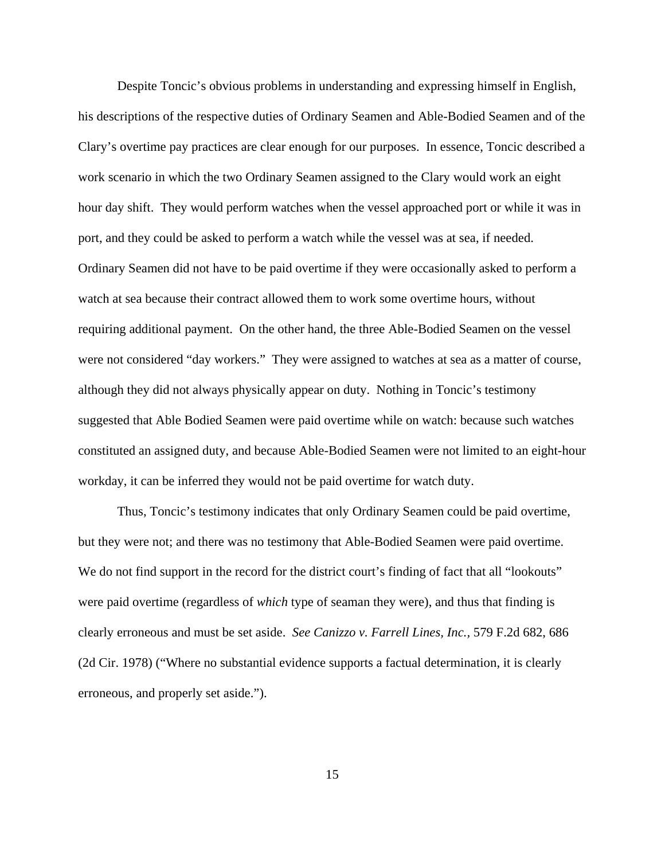Despite Toncic's obvious problems in understanding and expressing himself in English, his descriptions of the respective duties of Ordinary Seamen and Able-Bodied Seamen and of the Clary's overtime pay practices are clear enough for our purposes. In essence, Toncic described a work scenario in which the two Ordinary Seamen assigned to the Clary would work an eight hour day shift. They would perform watches when the vessel approached port or while it was in port, and they could be asked to perform a watch while the vessel was at sea, if needed. Ordinary Seamen did not have to be paid overtime if they were occasionally asked to perform a watch at sea because their contract allowed them to work some overtime hours, without requiring additional payment. On the other hand, the three Able-Bodied Seamen on the vessel were not considered "day workers." They were assigned to watches at sea as a matter of course, although they did not always physically appear on duty. Nothing in Toncic's testimony suggested that Able Bodied Seamen were paid overtime while on watch: because such watches constituted an assigned duty, and because Able-Bodied Seamen were not limited to an eight-hour workday, it can be inferred they would not be paid overtime for watch duty.

Thus, Toncic's testimony indicates that only Ordinary Seamen could be paid overtime, but they were not; and there was no testimony that Able-Bodied Seamen were paid overtime. We do not find support in the record for the district court's finding of fact that all "lookouts" were paid overtime (regardless of *which* type of seaman they were), and thus that finding is clearly erroneous and must be set aside. *See Canizzo v. Farrell Lines, Inc.,* 579 F.2d 682, 686 (2d Cir. 1978) ("Where no substantial evidence supports a factual determination, it is clearly erroneous, and properly set aside.").

15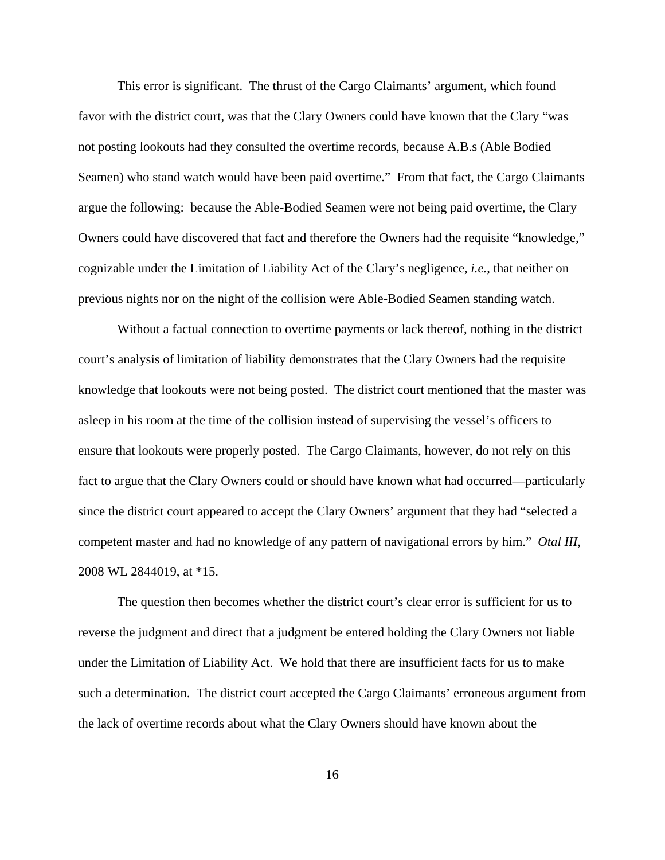This error is significant. The thrust of the Cargo Claimants' argument, which found favor with the district court, was that the Clary Owners could have known that the Clary "was not posting lookouts had they consulted the overtime records, because A.B.s (Able Bodied Seamen) who stand watch would have been paid overtime." From that fact, the Cargo Claimants argue the following: because the Able-Bodied Seamen were not being paid overtime, the Clary Owners could have discovered that fact and therefore the Owners had the requisite "knowledge," cognizable under the Limitation of Liability Act of the Clary's negligence, *i.e.*, that neither on previous nights nor on the night of the collision were Able-Bodied Seamen standing watch.

Without a factual connection to overtime payments or lack thereof, nothing in the district court's analysis of limitation of liability demonstrates that the Clary Owners had the requisite knowledge that lookouts were not being posted. The district court mentioned that the master was asleep in his room at the time of the collision instead of supervising the vessel's officers to ensure that lookouts were properly posted. The Cargo Claimants, however, do not rely on this fact to argue that the Clary Owners could or should have known what had occurred—particularly since the district court appeared to accept the Clary Owners' argument that they had "selected a competent master and had no knowledge of any pattern of navigational errors by him." *Otal III*, 2008 WL 2844019, at \*15.

The question then becomes whether the district court's clear error is sufficient for us to reverse the judgment and direct that a judgment be entered holding the Clary Owners not liable under the Limitation of Liability Act. We hold that there are insufficient facts for us to make such a determination. The district court accepted the Cargo Claimants' erroneous argument from the lack of overtime records about what the Clary Owners should have known about the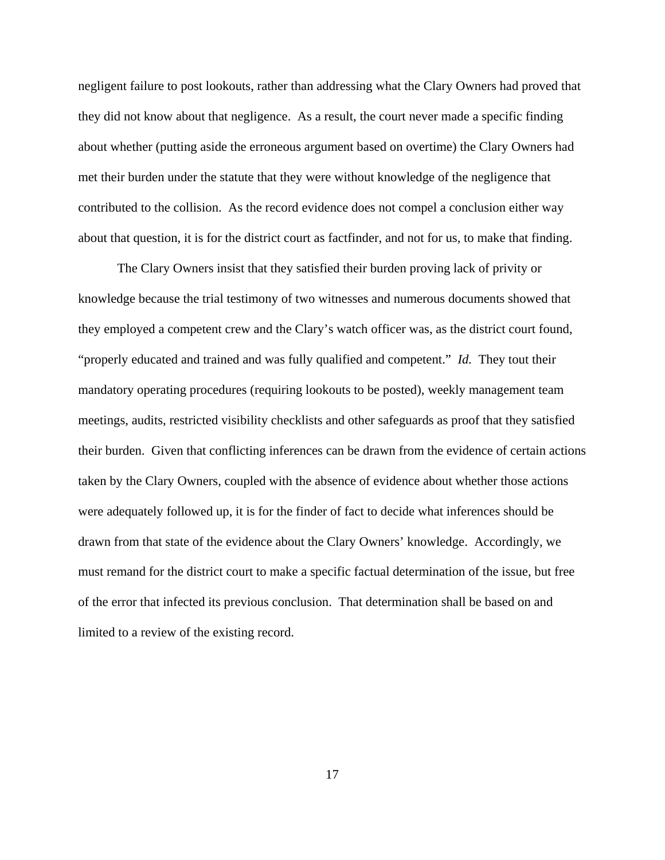negligent failure to post lookouts, rather than addressing what the Clary Owners had proved that they did not know about that negligence. As a result, the court never made a specific finding about whether (putting aside the erroneous argument based on overtime) the Clary Owners had met their burden under the statute that they were without knowledge of the negligence that contributed to the collision. As the record evidence does not compel a conclusion either way about that question, it is for the district court as factfinder, and not for us, to make that finding.

The Clary Owners insist that they satisfied their burden proving lack of privity or knowledge because the trial testimony of two witnesses and numerous documents showed that they employed a competent crew and the Clary's watch officer was, as the district court found, "properly educated and trained and was fully qualified and competent." *Id.* They tout their mandatory operating procedures (requiring lookouts to be posted), weekly management team meetings, audits, restricted visibility checklists and other safeguards as proof that they satisfied their burden. Given that conflicting inferences can be drawn from the evidence of certain actions taken by the Clary Owners, coupled with the absence of evidence about whether those actions were adequately followed up, it is for the finder of fact to decide what inferences should be drawn from that state of the evidence about the Clary Owners' knowledge. Accordingly, we must remand for the district court to make a specific factual determination of the issue, but free of the error that infected its previous conclusion. That determination shall be based on and limited to a review of the existing record.